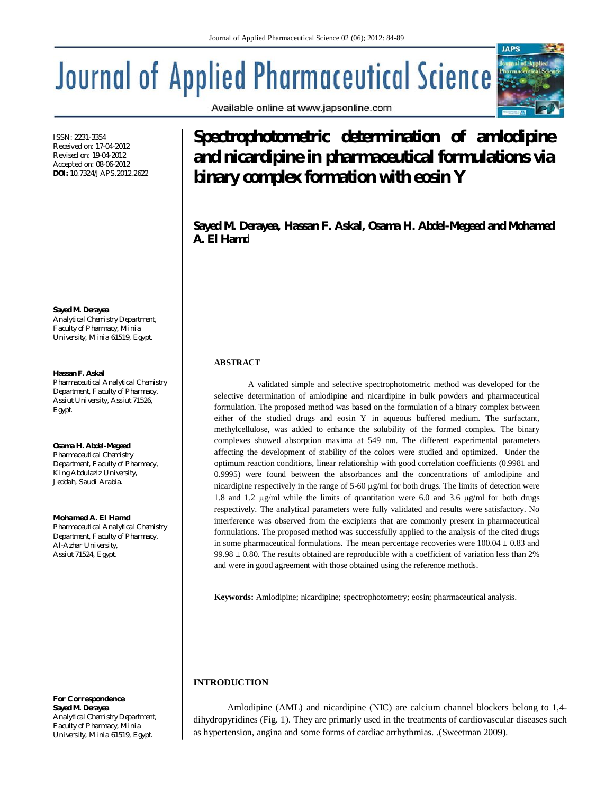# **Journal of Applied Pharmaceutical Science**

ISSN: 2231-3354 Received on: 17-04-2012 Revised on: 19-04-2012 Accepted on: 08-06-2012 **DOI:** 10.7324/JAPS.2012.2622

**Sayed M. Derayea**  *Analytical Chemistry Department, Faculty of Pharmacy, Minia University, Minia 61519, Egypt.*

# **Hassan F. Askal**

*Pharmaceutical Analytical Chemistry Department, Faculty of Pharmacy, Assiut University, Assiut 71526, Egypt.*

**Osama H. Abdel-Megeed** *Pharmaceutical Chemistry Department, Faculty of Pharmacy, King Abdulaziz University, Jeddah, Saudi Arabia.*

*Mohamed A. El Hamd Pharmaceutical Analytical Chemistry Department, Faculty of Pharmacy, Al-Azhar University, Assiut 71524, Egypt.*

*For Correspondence* **Sayed M. Derayea**  *Analytical Chemistry Department, Faculty of Pharmacy, Minia University, Minia 61519, Egypt.*

# **Spectrophotometric determination of amlodipine and nicardipine in pharmaceutical formulations via binary complex formation with eosin Y**

**Sayed M. Derayea, Hassan F. Askal, Osama H. Abdel-Megeed and Mohamed A. El Hamd**

# **ABSTRACT**

A validated simple and selective spectrophotometric method was developed for the selective determination of amlodipine and nicardipine in bulk powders and pharmaceutical formulation. The proposed method was based on the formulation of a binary complex between either of the studied drugs and eosin Y in aqueous buffered medium. The surfactant, methylcellulose, was added to enhance the solubility of the formed complex. The binary complexes showed absorption maxima at 549 nm. The different experimental parameters affecting the development of stability of the colors were studied and optimized. Under the optimum reaction conditions, linear relationship with good correlation coefficients (0.9981 and 0.9995) were found between the absorbances and the concentrations of amlodipine and nicardipine respectively in the range of  $5-60 \mu g/ml$  for both drugs. The limits of detection were 1.8 and 1.2  $\mu$ g/ml while the limits of quantitation were 6.0 and 3.6  $\mu$ g/ml for both drugs respectively. The analytical parameters were fully validated and results were satisfactory. No interference was observed from the excipients that are commonly present in pharmaceutical formulations. The proposed method was successfully applied to the analysis of the cited drugs in some pharmaceutical formulations. The mean percentage recoveries were  $100.04 \pm 0.83$  and  $99.98 \pm 0.80$ . The results obtained are reproducible with a coefficient of variation less than 2% and were in good agreement with those obtained using the reference methods.

**Keywords:** Amlodipine; nicardipine; spectrophotometry; eosin; pharmaceutical analysis.

# **INTRODUCTION**

Amlodipine (AML) and nicardipine (NIC) are calcium channel blockers belong to 1,4 dihydropyridines (Fig. 1). They are primarly used in the treatments of cardiovascular diseases such as hypertension, angina and some forms of cardiac arrhythmias. .(Sweetman 2009).



Available online at www.japsonline.com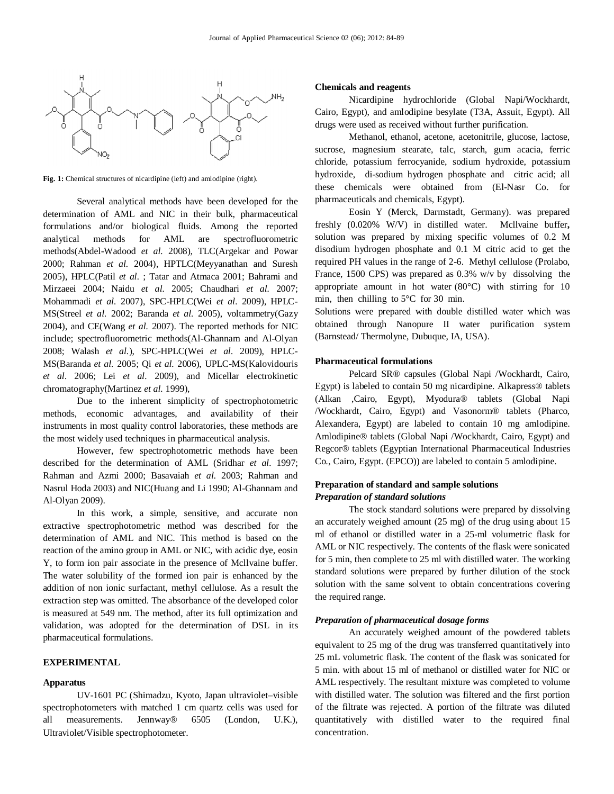

Fig. 1: Chemical structures of nicardipine (left) and amlodipine (right).

Several analytical methods have been developed for the determination of AML and NIC in their bulk, pharmaceutical formulations and/or biological fluids. Among the reported analytical methods for AML are spectrofluorometric methods(Abdel-Wadood *et al.* 2008), TLC(Argekar and Powar 2000; Rahman *et al.* 2004), HPTLC(Meyyanathan and Suresh 2005), HPLC(Patil *et al.* ; Tatar and Atmaca 2001; Bahrami and Mirzaeei 2004; Naidu *et al.* 2005; Chaudhari *et al.* 2007; Mohammadi *et al.* 2007), SPC-HPLC(Wei *et al.* 2009), HPLC-MS(Streel *et al.* 2002; Baranda *et al.* 2005), voltammetry(Gazy 2004), and CE(Wang *et al.* 2007). The reported methods for NIC include; spectrofluorometric methods(Al-Ghannam and Al-Olyan 2008; Walash *et al.*), SPC-HPLC(Wei *et al.* 2009), HPLC-MS(Baranda *et al.* 2005; Qi *et al.* 2006), UPLC-MS(Kalovidouris *et al.* 2006; Lei *et al.* 2009), and Micellar electrokinetic chromatography(Martinez *et al.* 1999),

Due to the inherent simplicity of spectrophotometric methods, economic advantages, and availability of their instruments in most quality control laboratories, these methods are the most widely used techniques in pharmaceutical analysis.

However, few spectrophotometric methods have been described for the determination of AML (Sridhar *et al.* 1997; Rahman and Azmi 2000; Basavaiah *et al.* 2003; Rahman and Nasrul Hoda 2003) and NIC(Huang and Li 1990; Al-Ghannam and Al-Olyan 2009).

In this work, a simple, sensitive, and accurate non extractive spectrophotometric method was described for the determination of AML and NIC. This method is based on the reaction of the amino group in AML or NIC, with acidic dye, eosin Y, to form ion pair associate in the presence of Mcllvaine buffer. The water solubility of the formed ion pair is enhanced by the addition of non ionic surfactant, methyl cellulose. As a result the extraction step was omitted. The absorbance of the developed color is measured at 549 nm. The method, after its full optimization and validation, was adopted for the determination of DSL in its pharmaceutical formulations.

# **EXPERIMENTAL**

# **Apparatus**

UV-1601 PC (Shimadzu, Kyoto, Japan ultraviolet–visible spectrophotometers with matched 1 cm quartz cells was used for all measurements. Jennway® 6505 (London, U.K.), Ultraviolet/Visible spectrophotometer.

#### **Chemicals and reagents**

Nicardipine hydrochloride (Global Napi/Wockhardt, Cairo, Egypt), and amlodipine besylate (T3A, Assuit, Egypt). All drugs were used as received without further purification.

Methanol, ethanol, acetone, acetonitrile, glucose, lactose, sucrose, magnesium stearate, talc, starch, gum acacia, ferric chloride, potassium ferrocyanide, sodium hydroxide, potassium hydroxide, di-sodium hydrogen phosphate and citric acid; all these chemicals were obtained from (El-Nasr Co. for pharmaceuticals and chemicals, Egypt).

Eosin Y (Merck, Darmstadt, Germany). was prepared freshly (0.020% W/V) in distilled water. Mcllvaine buffer**,** solution was prepared by mixing specific volumes of 0.2 M disodium hydrogen phosphate and 0.1 M citric acid to get the required PH values in the range of 2-6. Methyl cellulose (Prolabo, France, 1500 CPS) was prepared as 0.3% w/v by dissolving the appropriate amount in hot water  $(80^{\circ}C)$  with stirring for 10 min, then chilling to 5°C for 30 min.

Solutions were prepared with double distilled water which was obtained through Nanopure II water purification system (Barnstead/ Thermolyne, Dubuque, IA, USA).

#### **Pharmaceutical formulations**

Pelcard SR® capsules (Global Napi /Wockhardt, Cairo, Egypt) is labeled to contain 50 mg nicardipine. Alkapress® tablets (Alkan ,Cairo, Egypt), Myodura® tablets (Global Napi /Wockhardt, Cairo, Egypt) and Vasonorm® tablets (Pharco, Alexandera, Egypt) are labeled to contain 10 mg amlodipine. Amlodipine® tablets (Global Napi /Wockhardt, Cairo, Egypt) and Regcor® tablets (Egyptian International Pharmaceutical Industries Co., Cairo, Egypt. (EPCO)) are labeled to contain 5 amlodipine.

# **Preparation of standard and sample solutions** *Preparation of standard solutions*

The stock standard solutions were prepared by dissolving an accurately weighed amount (25 mg) of the drug using about 15 ml of ethanol or distilled water in a 25-ml volumetric flask for AML or NIC respectively. The contents of the flask were sonicated for 5 min, then complete to 25 ml with distilled water. The working standard solutions were prepared by further dilution of the stock solution with the same solvent to obtain concentrations covering the required range.

#### *Preparation of pharmaceutical dosage forms*

An accurately weighed amount of the powdered tablets equivalent to 25 mg of the drug was transferred quantitatively into 25 mL volumetric flask. The content of the flask was sonicated for 5 min. with about 15 ml of methanol or distilled water for NIC or AML respectively. The resultant mixture was completed to volume with distilled water. The solution was filtered and the first portion of the filtrate was rejected. A portion of the filtrate was diluted quantitatively with distilled water to the required final concentration.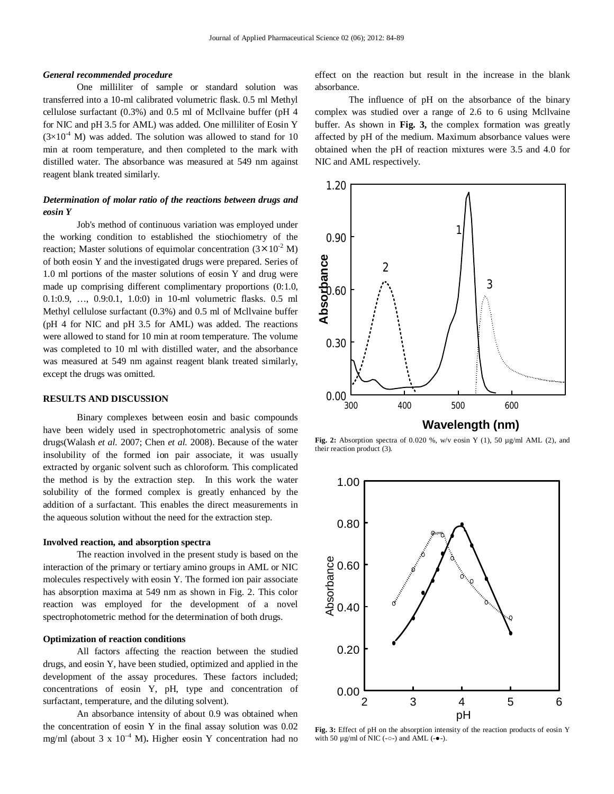#### *General recommended procedure*

One milliliter of sample or standard solution was transferred into a 10-ml calibrated volumetric flask. 0.5 ml Methyl cellulose surfactant (0.3%) and 0.5 ml of Mcllvaine buffer (pH 4 for NIC and pH 3.5 for AML) was added. One milliliter of Eosin Y  $(3\times10^4$  M) was added. The solution was allowed to stand for 10 min at room temperature, and then completed to the mark with distilled water. The absorbance was measured at 549 nm against reagent blank treated similarly.

# *Determination of molar ratio of the reactions between drugs and eosin Y*

Job's method of continuous variation was employed under the working condition to established the stiochiometry of the reaction; Master solutions of equimolar concentration  $(3 \times 10^{-2} \text{ M})$ of both eosin Y and the investigated drugs were prepared. Series of 1.0 ml portions of the master solutions of eosin Y and drug were made up comprising different complimentary proportions (0:1.0, 0.1:0.9, …, 0.9:0.1, 1.0:0) in 10-ml volumetric flasks. 0.5 ml Methyl cellulose surfactant (0.3%) and 0.5 ml of Mcllvaine buffer (pH 4 for NIC and pH 3.5 for AML) was added. The reactions were allowed to stand for 10 min at room temperature. The volume was completed to 10 ml with distilled water, and the absorbance was measured at 549 nm against reagent blank treated similarly, except the drugs was omitted.

# **RESULTS AND DISCUSSION**

Binary complexes between eosin and basic compounds have been widely used in spectrophotometric analysis of some drugs(Walash *et al.* 2007; Chen *et al.* 2008). Because of the water insolubility of the formed ion pair associate, it was usually extracted by organic solvent such as chloroform. This complicated the method is by the extraction step. In this work the water solubility of the formed complex is greatly enhanced by the addition of a surfactant. This enables the direct measurements in the aqueous solution without the need for the extraction step.

#### **Involved reaction, and absorption spectra**

The reaction involved in the present study is based on the interaction of the primary or tertiary amino groups in AML or NIC molecules respectively with eosin Y. The formed ion pair associate has absorption maxima at 549 nm as shown in Fig. 2. This color reaction was employed for the development of a novel spectrophotometric method for the determination of both drugs.

# **Optimization of reaction conditions**

All factors affecting the reaction between the studied drugs, and eosin Y, have been studied, optimized and applied in the development of the assay procedures. These factors included; concentrations of eosin Y, pH, type and concentration of surfactant, temperature, and the diluting solvent).

An absorbance intensity of about 0.9 was obtained when the concentration of eosin Y in the final assay solution was 0.02 mg/ml (about 3 x  $10^{-4}$  M). Higher eosin Y concentration had no

effect on the reaction but result in the increase in the blank absorbance.

The influence of pH on the absorbance of the binary complex was studied over a range of 2.6 to 6 using Mcllvaine buffer. As shown in **Fig. 3,** the complex formation was greatly affected by pH of the medium. Maximum absorbance values were obtained when the pH of reaction mixtures were 3.5 and 4.0 for NIC and AML respectively.



**Fig. 2:** Absorption spectra of 0.020 %, w/v eosin Y (1), 50  $\mu$ g/ml AML (2), and their reaction product (3).



**Fig. 3:** Effect of pH on the absorption intensity of the reaction products of eosin Y with 50  $\mu$ g/ml of NIC (- $\circ$ -) and AML (- $\bullet$ -).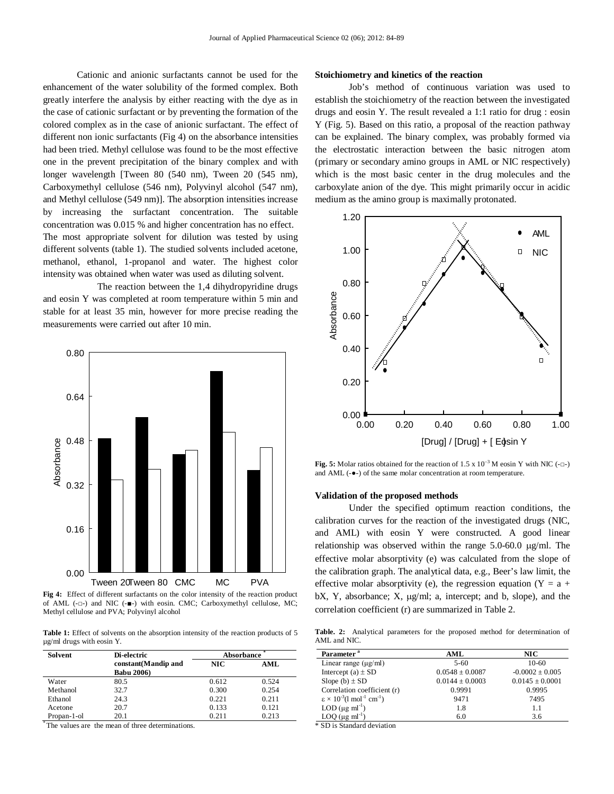Cationic and anionic surfactants cannot be used for the enhancement of the water solubility of the formed complex. Both greatly interfere the analysis by either reacting with the dye as in the case of cationic surfactant or by preventing the formation of the colored complex as in the case of anionic surfactant. The effect of different non ionic surfactants (Fig 4) on the absorbance intensities had been tried. Methyl cellulose was found to be the most effective one in the prevent precipitation of the binary complex and with longer wavelength [Tween 80 (540 nm), Tween 20 (545 nm), Carboxymethyl cellulose (546 nm), Polyvinyl alcohol (547 nm), and Methyl cellulose (549 nm)]. The absorption intensities increase by increasing the surfactant concentration. The suitable concentration was 0.015 % and higher concentration has no effect. The most appropriate solvent for dilution was tested by using different solvents (table 1). The studied solvents included acetone, methanol, ethanol, 1-propanol and water. The highest color intensity was obtained when water was used as diluting solvent.

The reaction between the 1,4 dihydropyridine drugs and eosin Y was completed at room temperature within 5 min and stable for at least 35 min, however for more precise reading the measurements were carried out after 10 min.



**Fig 4:** Effect of different surfactants on the color intensity of the reaction product of AML (-□-) and NIC (-■-) with eosin. CMC; Carboxymethyl cellulose, MC; Methyl cellulose and PVA; Polyvinyl alcohol

Table 1: Effect of solvents on the absorption intensity of the reaction products of 5 µg/ml drugs with eosin Y.

| Solvent     | Di-electric                                | Absorbance |       |
|-------------|--------------------------------------------|------------|-------|
|             | constant (Mandip and<br><b>Babu 2006</b> ) | NIC.       | AML   |
| Water       | 80.5                                       | 0.612      | 0.524 |
| Methanol    | 32.7                                       | 0.300      | 0.254 |
| Ethanol     | 24.3                                       | 0.221      | 0.211 |
| Acetone     | 20.7                                       | 0.133      | 0.121 |
| Propan-1-ol | 20.1                                       | 0.211      | 0.213 |

\* The values are the mean of three determinations.

#### **Stoichiometry and kinetics of the reaction**

Job's method of continuous variation was used to establish the stoichiometry of the reaction between the investigated drugs and eosin Y. The result revealed a 1:1 ratio for drug : eosin Y (Fig. 5). Based on this ratio, a proposal of the reaction pathway can be explained. The binary complex, was probably formed via the electrostatic interaction between the basic nitrogen atom (primary or secondary amino groups in AML or NIC respectively) which is the most basic center in the drug molecules and the carboxylate anion of the dye. This might primarily occur in acidic medium as the amino group is maximally protonated.



Fig. 5: Molar ratios obtained for the reaction of 1.5 x 10<sup>-3</sup> M eosin Y with NIC (-□-) and AML (-●-) of the same molar concentration at room temperature.

#### **Validation of the proposed methods**

Under the specified optimum reaction conditions, the calibration curves for the reaction of the investigated drugs (NIC, and AML) with eosin Y were constructed. A good linear relationship was observed within the range  $5.0$ -60.0  $\mu$ g/ml. The effective molar absorptivity (e) was calculated from the slope of the calibration graph. The analytical data, e.g., Beer's law limit, the effective molar absorptivity (e), the regression equation (Y =  $a +$ bX, Y, absorbance; X,  $\mu$ g/ml; a, intercept; and b, slope), and the correlation coefficient (r) are summarized in Table 2.

**Table. 2:** Analytical parameters for the proposed method for determination of AML and NIC.

| Parameter <sup>a</sup>                                            | AML                 | $\bf MC$            |  |
|-------------------------------------------------------------------|---------------------|---------------------|--|
| Linear range $(\mu g/ml)$                                         | $5 - 60$            | $10-60$             |  |
| Intercept (a) $\pm$ SD                                            | $0.0548 \pm 0.0087$ | $-0.0002 \pm 0.005$ |  |
| Slope (b) $\pm$ SD                                                | $0.0144 \pm 0.0003$ | $0.0145 \pm 0.0001$ |  |
| Correlation coefficient (r)                                       | 0.9991              | 0.9995              |  |
| $\epsilon \times 10^{-3}$ (1 mol <sup>-1</sup> cm <sup>-1</sup> ) | 9471                | 7495                |  |
| LOD $(\mu g \text{ ml}^{-1})$                                     | 1.8                 | 1.1                 |  |
| LOQ $(\mu g \text{ ml}^{-1})$                                     | 6.0                 | 3.6                 |  |

\* SD is Standard deviation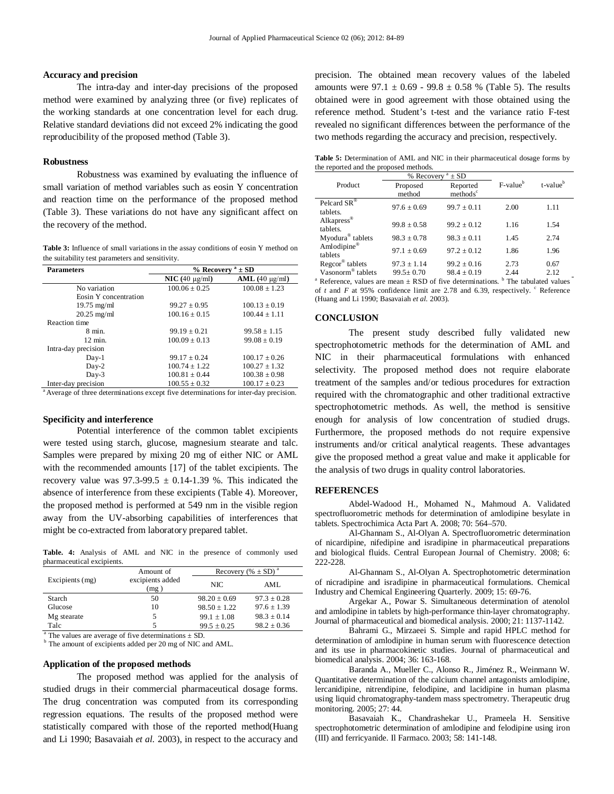# **Accuracy and precision**

The intra-day and inter-day precisions of the proposed method were examined by analyzing three (or five) replicates of the working standards at one concentration level for each drug. Relative standard deviations did not exceed 2% indicating the good reproducibility of the proposed method (Table 3).

#### **Robustness**

Robustness was examined by evaluating the influence of small variation of method variables such as eosin Y concentration and reaction time on the performance of the proposed method (Table 3). These variations do not have any significant affect on the recovery of the method.

Table 3: Influence of small variations in the assay conditions of eosin Y method on the suitability test parameters and sensitivity.

| <b>Parameters</b>                                                                                | % Recovery $a \pm SD$     |                       |  |
|--------------------------------------------------------------------------------------------------|---------------------------|-----------------------|--|
|                                                                                                  | $\textbf{NIC}$ (40 µg/ml) | $AML$ (40 $\mu$ g/ml) |  |
| No variation                                                                                     | $100.06 \pm 0.25$         | $100.08 \pm 1.23$     |  |
| Eosin Y concentration                                                                            |                           |                       |  |
| $19.75$ mg/ml                                                                                    | $99.27 \pm 0.95$          | $100.13 \pm 0.19$     |  |
| $20.25$ mg/ml                                                                                    | $100.16 \pm 0.15$         | $100.44 \pm 1.11$     |  |
| Reaction time                                                                                    |                           |                       |  |
| $8 \text{ min.}$                                                                                 | $99.19 \pm 0.21$          | $99.58 \pm 1.15$      |  |
| $12 \text{ min.}$                                                                                | $100.09 \pm 0.13$         | $99.08 \pm 0.19$      |  |
| Intra-day precision                                                                              |                           |                       |  |
| $Day-1$                                                                                          | $99.17 \pm 0.24$          | $100.17 \pm 0.26$     |  |
| $Day-2$                                                                                          | $100.74 \pm 1.22$         | $100.27 \pm 1.32$     |  |
| $Day-3$                                                                                          | $100.81 \pm 0.44$         | $100.38 \pm 0.98$     |  |
| Inter-day precision                                                                              | $100.55 \pm 0.32$         | $100.17 \pm 0.23$     |  |
| <sup>a</sup> Average of three determinations except five determinations for inter-day precision. |                           |                       |  |

#### **Specificity and interference**

Potential interference of the common tablet excipients were tested using starch, glucose, magnesium stearate and talc. Samples were prepared by mixing 20 mg of either NIC or AML with the recommended amounts [17] of the tablet excipients. The recovery value was  $97.3-99.5 \pm 0.14-1.39$  %. This indicated the absence of interference from these excipients (Table 4). Moreover, the proposed method is performed at 549 nm in the visible region away from the UV-absorbing capabilities of interferences that might be co-extracted from laboratory prepared tablet.

**Table. 4:** Analysis of AML and NIC in the presence of commonly used pharmaceutical excipients.

|                 | Amount of                | Recovery (% $\pm$ SD) <sup>a</sup> |                 |
|-----------------|--------------------------|------------------------------------|-----------------|
| Excipients (mg) | excipients added<br>(mg) | NIC.                               | AML             |
| Starch          | 50                       | $98.20 \pm 0.69$                   | $97.3 + 0.28$   |
| Glucose         | 10                       | $98.50 + 1.22$                     | $97.6 \pm 1.39$ |
| Mg stearate     | 5                        | $99.1 \pm 1.08$                    | $98.3 + 0.14$   |
| Talc            |                          | $99.5 \pm 0.25$                    | $98.2 \pm 0.36$ |

 $\frac{a}{b}$  The values are average of five determinations  $\pm$  SD.

<sup>b</sup> The amount of excipients added per 20 mg of NIC and AML.

# **Application of the proposed methods**

The proposed method was applied for the analysis of studied drugs in their commercial pharmaceutical dosage forms. The drug concentration was computed from its corresponding regression equations. The results of the proposed method were statistically compared with those of the reported method(Huang and Li 1990; Basavaiah *et al.* 2003), in respect to the accuracy and

precision. The obtained mean recovery values of the labeled amounts were  $97.1 \pm 0.69 - 99.8 \pm 0.58$  % (Table 5). The results obtained were in good agreement with those obtained using the reference method. Student's t-test and the variance ratio F-test revealed no significant differences between the performance of the two methods regarding the accuracy and precision, respectively.

Table 5: Determination of AML and NIC in their pharmaceutical dosage forms by the reported and the proposed methods.

|                               | % Recovery $a \pm SD$ |                                  |             |                      |
|-------------------------------|-----------------------|----------------------------------|-------------|----------------------|
| Product                       | Proposed<br>method    | Reported<br>methods <sup>c</sup> | $F-value^b$ | t-value <sup>b</sup> |
| Pelcard SR®<br>tablets.       | $97.6 \pm 0.69$       | $99.7 \pm 0.11$                  | 2.00        | 1.11                 |
| Alkapress®<br>tablets.        | $99.8 + 0.58$         | $99.2 + 0.12$                    | 1.16        | 1.54                 |
| Myodura <sup>®</sup> tablets  | $98.3 + 0.78$         | $98.3 + 0.11$                    | 1.45        | 2.74                 |
| Amlodipine®<br>tablets        | $97.1 + 0.69$         | $97.2 + 0.12$                    | 1.86        | 1.96                 |
| Regcor <sup>®</sup> tablets   | $97.3 + 1.14$         | $99.2 \pm 0.16$                  | 2.73        | 0.67                 |
| Vasonorm <sup>®</sup> tablets | $99.5 + 0.70$         | $98.4 + 0.19$                    | 2.44        | 2.12                 |

<sup>a</sup> Reference, values are mean  $\pm$  RSD of five determinations. <sup>b</sup> The tabulated values of  $t$  and  $F$  at 95% confidence limit are 2.78 and 6.39, respectively.  $\textdegree$  Reference (Huang and Li 1990; Basavaiah *et al.* 2003).

#### **CONCLUSION**

The present study described fully validated new spectrophotometric methods for the determination of AML and NIC in their pharmaceutical formulations with enhanced selectivity. The proposed method does not require elaborate treatment of the samples and/or tedious procedures for extraction required with the chromatographic and other traditional extractive spectrophotometric methods. As well, the method is sensitive enough for analysis of low concentration of studied drugs. Furthermore, the proposed methods do not require expensive instruments and/or critical analytical reagents. These advantages give the proposed method a great value and make it applicable for the analysis of two drugs in quality control laboratories.

#### **REFERENCES**

Abdel-Wadood H., Mohamed N., Mahmoud A. Validated spectrofluorometric methods for determination of amlodipine besylate in tablets. Spectrochimica Acta Part A. 2008; 70: 564–570.

Al-Ghannam S., Al-Olyan A. Spectrofluorometric determination of nicardipine, nifedipine and isradipine in pharmaceutical preparations and biological fluids. Central European Journal of Chemistry. 2008; 6: 222-228.

Al-Ghannam S., Al-Olyan A. Spectrophotometric determination of nicradipine and isradipine in pharmaceutical formulations. Chemical Industry and Chemical Engineering Quarterly. 2009; 15: 69-76.

Argekar A., Powar S. Simultaneous determination of atenolol and amlodipine in tablets by high-performance thin-layer chromatography. Journal of pharmaceutical and biomedical analysis. 2000; 21: 1137-1142.

Bahrami G., Mirzaeei S. Simple and rapid HPLC method for determination of amlodipine in human serum with fluorescence detection and its use in pharmacokinetic studies. Journal of pharmaceutical and biomedical analysis. 2004; 36: 163-168.

Baranda A., Mueller C., Alonso R., Jiménez R., Weinmann W. Quantitative determination of the calcium channel antagonists amlodipine, lercanidipine, nitrendipine, felodipine, and lacidipine in human plasma using liquid chromatography-tandem mass spectrometry. Therapeutic drug monitoring. 2005; 27: 44.

Basavaiah K., Chandrashekar U., Prameela H. Sensitive spectrophotometric determination of amlodipine and felodipine using iron (III) and ferricyanide. Il Farmaco. 2003; 58: 141-148.